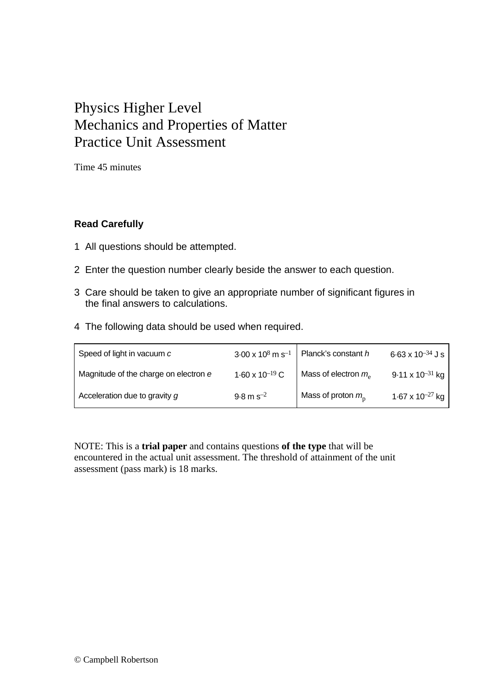## Physics Higher Level Mechanics and Properties of Matter Practice Unit Assessment

Time 45 minutes

## **Read Carefully**

- 1 All questions should be attempted.
- 2 Enter the question number clearly beside the answer to each question.
- 3 Care should be taken to give an appropriate number of significant figures in the final answers to calculations.
- 4 The following data should be used when required.

| Speed of light in vacuum c            | $3.00 \times 10^8$ m s <sup>-1</sup> | Planck's constant h        | $6.63 \times 10^{-34}$ J s |
|---------------------------------------|--------------------------------------|----------------------------|----------------------------|
| Magnitude of the charge on electron e | 1.60 x 10 <sup>-19</sup> C           | Mass of electron $m_e$     | $9.11 \times 10^{-31}$ kg  |
| Acceleration due to gravity g         | $9.8 \text{ m s}^{-2}$               | Mass of proton $m_{\rm p}$ | 1.67 x $10^{-27}$ kg       |

NOTE: This is a **trial paper** and contains questions **of the type** that will be encountered in the actual unit assessment. The threshold of attainment of the unit assessment (pass mark) is 18 marks.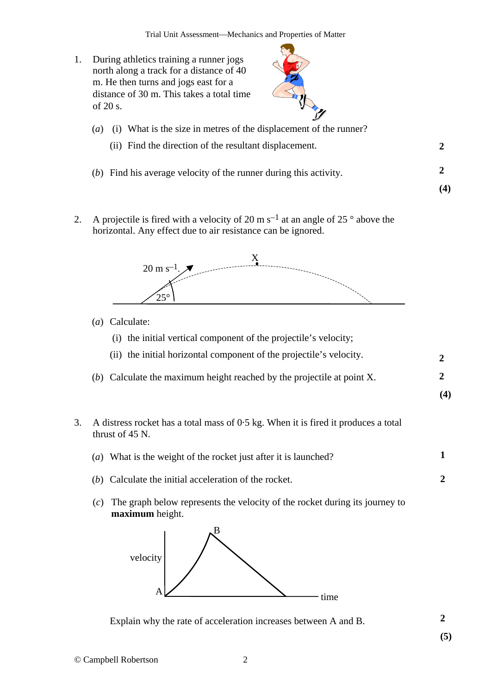1. During athletics training a runner jogs north along a track for a distance of 40 m. He then turns and jogs east for a distance of 30 m. This takes a total time of 20 s.



| $\left(a\right)$ | (i) What is the size in metres of the displacement of the runner?   |  |  |  |  |
|------------------|---------------------------------------------------------------------|--|--|--|--|
|                  | (ii) Find the direction of the resultant displacement.              |  |  |  |  |
|                  | $(b)$ Find his average velocity of the runner during this activity. |  |  |  |  |
|                  |                                                                     |  |  |  |  |

2. A projectile is fired with a velocity of 20 m s<sup>-1</sup> at an angle of 25  $\degree$  above the horizontal. Any effect due to air resistance can be ignored.



- (*a*) Calculate:
	- (i) the initial vertical component of the projectile's velocity;
	- (ii) the initial horizontal component of the projectile's velocity. **2**
- (*b*) Calculate the maximum height reached by the projectile at point X. **2** 
	- **(4)**
- 3. A distress rocket has a total mass of 0·5 kg. When it is fired it produces a total thrust of 45 N.
	- **1** (*a*) What is the weight of the rocket just after it is launched?
	- (*b*) Calculate the initial acceleration of the rocket. **2**
	- (*c*) The graph below represents the velocity of the rocket during its journey to **maximum** height.



**2** Explain why the rate of acceleration increases between A and B.

**(5)**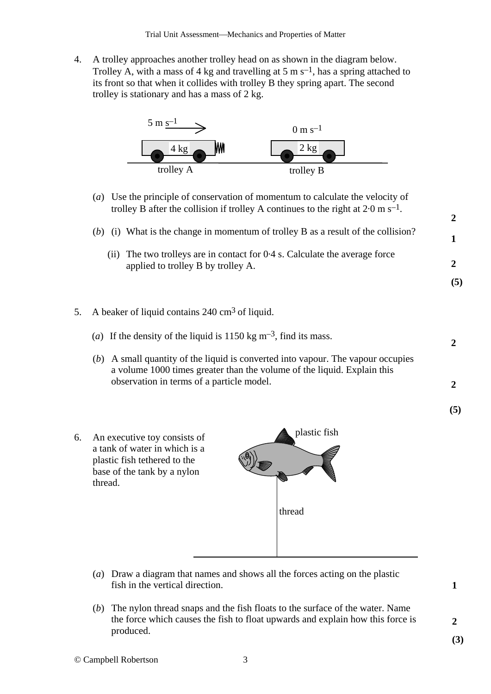4. A trolley approaches another trolley head on as shown in the diagram below. Trolley A, with a mass of 4 kg and travelling at 5 m  $s^{-1}$ , has a spring attached to its front so that when it collides with trolley B they spring apart. The second trolley is stationary and has a mass of 2 kg.



- (*a*) Use the principle of conservation of momentum to calculate the velocity of trolley B after the collision if trolley A continues to the right at  $2.0 \text{ m s}^{-1}$ .
- (*b*) (i) What is the change in momentum of trolley B as a result of the collision?
	- (ii) The two trolleys are in contact for 0·4 s. Calculate the average force applied to trolley B by trolley A.
- 5. A beaker of liquid contains 240 cm<sup>3</sup> of liquid.
	- (*a*) If the density of the liquid is  $1150 \text{ kg m}^{-3}$ , find its mass.
	- (*b*) A small quantity of the liquid is converted into vapour. The vapour occupies a volume 1000 times greater than the volume of the liquid. Explain this observation in terms of a particle model.
- **(5)**

**2** 

**2** 

**2** 

**1** 

**2** 

**(5)**

6. An executive toy consists of a tank of water in which is a plastic fish tethered to the base of the tank by a nylon thread.



- (*a*) Draw a diagram that names and shows all the forces acting on the plastic fish in the vertical direction.
- (*b*) The nylon thread snaps and the fish floats to the surface of the water. Name the force which causes the fish to float upwards and explain how this force is produced.

**1** 

**2 (3)**